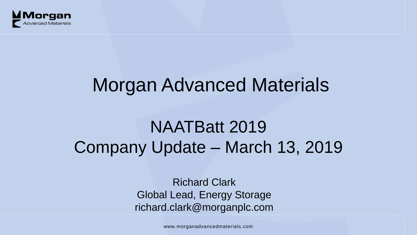

# Morgan Advanced Materials

## NAATBatt 2019 Company Update – March 13, 2019

Richard Clark Global Lead, Energy Storage richard.clark@morganplc.com

www.morganadvancedmaterials.com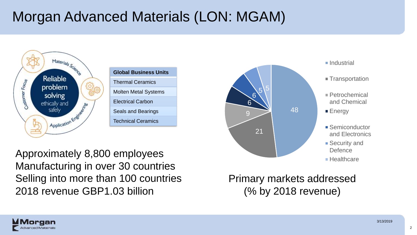## Morgan Advanced Materials (LON: MGAM)



Approximately 8,800 employees Manufacturing in over 30 countries Selling into more than 100 countries 2018 revenue GBP1.03 billion



- 
- Transportation
- Petrochemical and Chemical
- **Energy**
- **Semiconductor** and Electronics
- **Security and Defence**
- **Healthcare**

Primary markets addressed (% by 2018 revenue)

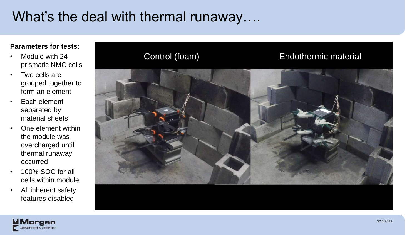### What's the deal with thermal runaway....

#### **Parameters for tests:**

- Module with 24 prismatic NMC cells
- Two cells are grouped together to form an element
- Each element separated by material sheets
- One element within the module was overcharged until thermal runaway occurred
- 100% SOC for all cells within module
- All inherent safety features disabled



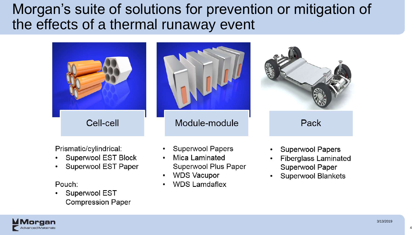Morgan's suite of solutions for prevention or mitigation of the effects of a thermal runaway event





Prismatic/cylindrical:

- Superwool EST Block
- Superwool EST Paper

#### Pouch:

organ

**Advanced Materials** 

Superwool EST **Compression Paper** 

- **Superwool Papers**
- Mica Laminated Superwool Plus Paper
- **WDS Vacupor**  $\bullet$
- **WDS Lamdaflex**



- **Superwool Papers**
- **Fiberglass Laminated**  $\bullet$ Superwool Paper
- **Superwool Blankets**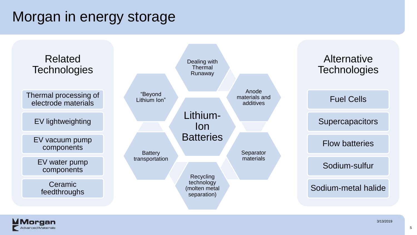## Morgan in energy storage